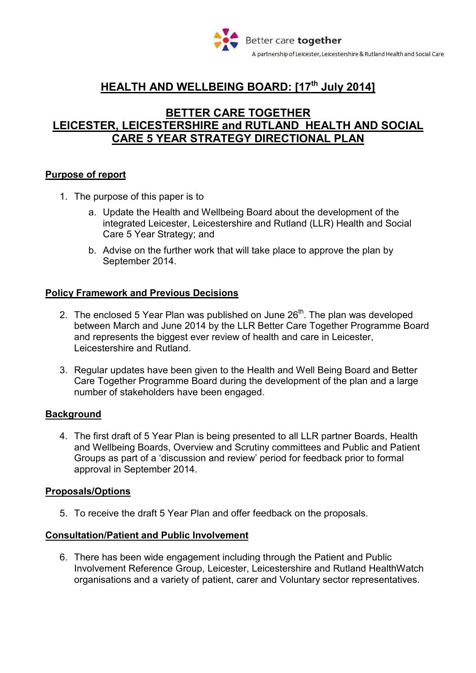

# **HEALTH AND WELLBEING BOARD: [17th July 2014]**

## **BETTER CARE TOGETHER LEICESTER, LEICESTERSHIRE and RUTLAND HEALTH AND SOCIAL CARE 5 YEAR STRATEGY DIRECTIONAL PLAN**

#### **Purpose of report**

- 1. The purpose of this paper is to
	- a. Update the Health and Wellbeing Board about the development of the integrated Leicester, Leicestershire and Rutland (LLR) Health and Social Care 5 Year Strategy; and
	- b. Advise on the further work that will take place to approve the plan by September 2014.

## **Policy Framework and Previous Decisions**

- 2. The enclosed 5 Year Plan was published on June  $26<sup>th</sup>$ . The plan was developed between March and June 2014 by the LLR Better Care Together Programme Board and represents the biggest ever review of health and care in Leicester, Leicestershire and Rutland.
- 3. Regular updates have been given to the Health and Well Being Board and Better Care Together Programme Board during the development of the plan and a large number of stakeholders have been engaged.

#### **Background**

4. The first draft of 5 Year Plan is being presented to all LLR partner Boards, Health and Wellbeing Boards, Overview and Scrutiny committees and Public and Patient Groups as part of a 'discussion and review' period for feedback prior to formal approval in September 2014.

#### **Proposals/Options**

5. To receive the draft 5 Year Plan and offer feedback on the proposals.

#### **Consultation/Patient and Public Involvement**

6. There has been wide engagement including through the Patient and Public Involvement Reference Group, Leicester, Leicestershire and Rutland HealthWatch organisations and a variety of patient, carer and Voluntary sector representatives.